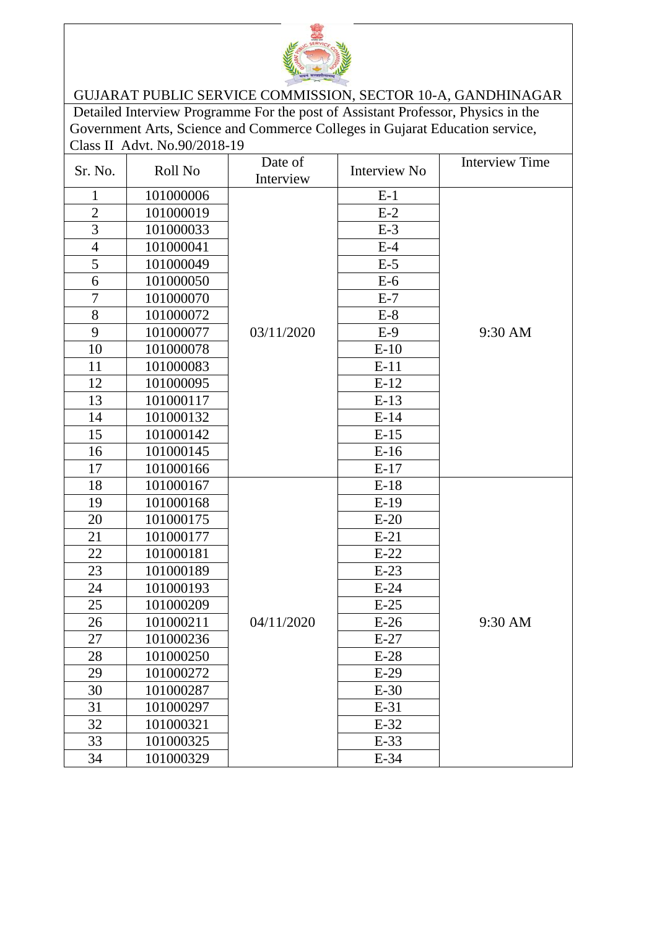

## GUJARAT PUBLIC SERVICE COMMISSION, SECTOR 10-A, GANDHINAGAR

Detailed Interview Programme For the post of Assistant Professor, Physics in the Government Arts, Science and Commerce Colleges in Gujarat Education service, Class II Advt. No.90/2018-19

| Sr. No.        | Roll No   | Date of<br>Interview | Interview No | <b>Interview Time</b> |
|----------------|-----------|----------------------|--------------|-----------------------|
| $\mathbf{1}$   | 101000006 |                      | $E-1$        |                       |
| $\overline{2}$ | 101000019 |                      | $E-2$        |                       |
| 3              | 101000033 |                      | $E-3$        |                       |
| $\overline{4}$ | 101000041 |                      | $E-4$        |                       |
| 5              | 101000049 |                      | $E-5$        |                       |
| 6              | 101000050 |                      | $E-6$        |                       |
| $\overline{7}$ | 101000070 |                      | $E-7$        |                       |
| 8              | 101000072 |                      | $E-8$        |                       |
| 9              | 101000077 | 03/11/2020           | $E-9$        | 9:30 AM               |
| 10             | 101000078 |                      | $E-10$       |                       |
| 11             | 101000083 |                      | $E-11$       |                       |
| 12             | 101000095 |                      | $E-12$       |                       |
| 13             | 101000117 |                      | $E-13$       |                       |
| 14             | 101000132 |                      | $E-14$       |                       |
| 15             | 101000142 |                      | $E-15$       |                       |
| 16             | 101000145 |                      | $E-16$       |                       |
| 17             | 101000166 |                      | $E-17$       |                       |
| 18             | 101000167 |                      | $E-18$       |                       |
| 19             | 101000168 |                      | $E-19$       |                       |
| 20             | 101000175 |                      | $E-20$       |                       |
| 21             | 101000177 |                      | $E-21$       |                       |
| 22             | 101000181 |                      | $E-22$       |                       |
| 23             | 101000189 |                      | $E-23$       |                       |
| 24             | 101000193 |                      | $E-24$       |                       |
| 25             | 101000209 |                      | $E-25$       |                       |
| 26             | 101000211 | 04/11/2020           | $E-26$       | 9:30 AM               |
| 27             | 101000236 |                      | $E-27$       |                       |
| 28             | 101000250 |                      | $E-28$       |                       |
| 29             | 101000272 |                      | $E-29$       |                       |
| 30             | 101000287 |                      | $E-30$       |                       |
| 31             | 101000297 |                      | $E-31$       |                       |
| 32             | 101000321 |                      | $E-32$       |                       |
| 33             | 101000325 |                      | $E-33$       |                       |
| 34             | 101000329 |                      | $E-34$       |                       |